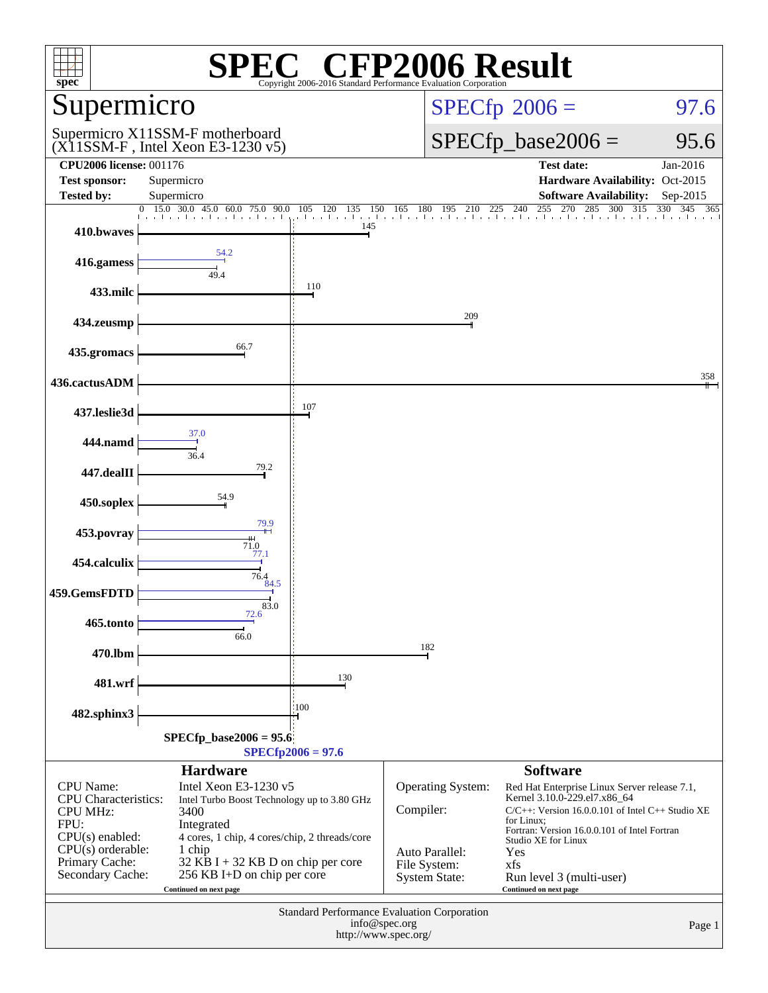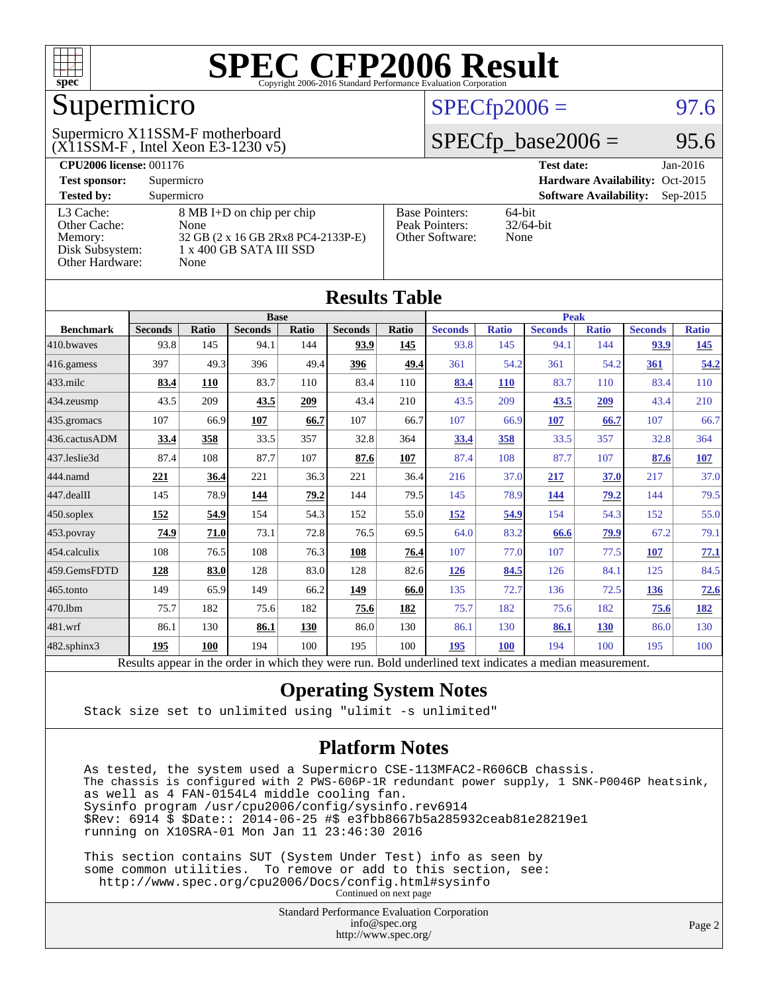

## Supermicro

#### (X11SSM-F , Intel Xeon E3-1230 v5) Supermicro X11SSM-F motherboard

#### $SPECfp2006 = 97.6$  $SPECfp2006 = 97.6$

#### $SPECfp\_base2006 = 95.6$

| <b>CPU2006 license: 001176</b> |                                    | <b>Test date:</b><br>$Jan-2016$ |                                             |
|--------------------------------|------------------------------------|---------------------------------|---------------------------------------------|
| <b>Test sponsor:</b>           | Supermicro                         |                                 | Hardware Availability: Oct-2015             |
| <b>Tested by:</b>              | Supermicro                         |                                 | <b>Software Availability:</b><br>$Sep-2015$ |
| L3 Cache:                      | 8 MB I+D on chip per chip          | <b>Base Pointers:</b>           | $64$ -bit                                   |
| Other Cache:                   | None                               | Peak Pointers:                  | $32/64$ -bit                                |
| Memory:                        | 32 GB (2 x 16 GB 2Rx8 PC4-2133P-E) | Other Software:                 | None                                        |
| Disk Subsystem:                | 1 x 400 GB SATA III SSD            |                                 |                                             |
| Other Hardware:                | None                               |                                 |                                             |

**[Results Table](http://www.spec.org/auto/cpu2006/Docs/result-fields.html#ResultsTable)**

| Results Table    |                                                                                                          |       |                |       |                |       |                |              |                |              |                |              |
|------------------|----------------------------------------------------------------------------------------------------------|-------|----------------|-------|----------------|-------|----------------|--------------|----------------|--------------|----------------|--------------|
|                  | <b>Base</b>                                                                                              |       |                |       |                |       | <b>Peak</b>    |              |                |              |                |              |
| <b>Benchmark</b> | <b>Seconds</b>                                                                                           | Ratio | <b>Seconds</b> | Ratio | <b>Seconds</b> | Ratio | <b>Seconds</b> | <b>Ratio</b> | <b>Seconds</b> | <b>Ratio</b> | <b>Seconds</b> | <b>Ratio</b> |
| 410.bwayes       | 93.8                                                                                                     | 145   | 94.1           | 144   | 93.9           | 145   | 93.8           | 145          | 94.1           | 144          | 93.9           | <u>145</u>   |
| 416.gamess       | 397                                                                                                      | 49.3  | 396            | 49.4  | 396            | 49.4  | 361            | 54.2         | 361            | 54.2         | 361            | 54.2         |
| $433$ .milc      | 83.4                                                                                                     | 110   | 83.7           | 110   | 83.4           | 110   | 83.4           | <b>110</b>   | 83.7           | 110          | 83.4           | 110          |
| 434.zeusmp       | 43.5                                                                                                     | 209   | 43.5           | 209   | 43.4           | 210   | 43.5           | 209          | 43.5           | 209          | 43.4           | 210          |
| 435 gromacs      | 107                                                                                                      | 66.9  | 107            | 66.7  | 107            | 66.7  | 107            | 66.9         | 107            | 66.7         | 107            | 66.7         |
| 436.cactusADM    | 33.4                                                                                                     | 358   | 33.5           | 357   | 32.8           | 364   | 33.4           | 358          | 33.5           | 357          | 32.8           | 364          |
| 437.leslie3d     | 87.4                                                                                                     | 108   | 87.7           | 107   | 87.6           | 107   | 87.4           | 108          | 87.7           | 107          | 87.6           | <b>107</b>   |
| 444.namd         | 221                                                                                                      | 36.4  | 221            | 36.3  | 221            | 36.4  | 216            | 37.0         | 217            | 37.0         | 217            | 37.0         |
| 447.dealII       | 145                                                                                                      | 78.9  | 144            | 79.2  | 144            | 79.5  | 145            | 78.9         | 144            | 79.2         | 144            | 79.5         |
| $450$ .soplex    | <u>152</u>                                                                                               | 54.9  | 154            | 54.3  | 152            | 55.0  | 152            | 54.9         | 154            | 54.3         | 152            | 55.0         |
| 453.povray       | 74.9                                                                                                     | 71.0  | 73.1           | 72.8  | 76.5           | 69.5  | 64.0           | 83.2         | 66.6           | 79.9         | 67.2           | 79.1         |
| 454.calculix     | 108                                                                                                      | 76.5  | 108            | 76.3  | 108            | 76.4  | 107            | 77.0         | 107            | 77.5         | 107            | 77.1         |
| 459.GemsFDTD     | 128                                                                                                      | 83.0  | 128            | 83.0  | 128            | 82.6  | 126            | 84.5         | 126            | 84.1         | 125            | 84.5         |
| 465.tonto        | 149                                                                                                      | 65.9  | 149            | 66.2  | 149            | 66.0  | 135            | 72.7         | 136            | 72.5         | 136            | 72.6         |
| 470.1bm          | 75.7                                                                                                     | 182   | 75.6           | 182   | 75.6           | 182   | 75.7           | 182          | 75.6           | 182          | 75.6           | <u>182</u>   |
| 481.wrf          | 86.1                                                                                                     | 130   | 86.1           | 130   | 86.0           | 130   | 86.1           | 130          | 86.1           | <b>130</b>   | 86.0           | 130          |
| 482.sphinx3      | 195                                                                                                      | 100   | 194            | 100   | 195            | 100   | 195            | 100          | 194            | 100          | 195            | 100          |
|                  | Results appear in the order in which they were run. Bold underlined text indicates a median measurement. |       |                |       |                |       |                |              |                |              |                |              |

#### **[Operating System Notes](http://www.spec.org/auto/cpu2006/Docs/result-fields.html#OperatingSystemNotes)**

Stack size set to unlimited using "ulimit -s unlimited"

#### **[Platform Notes](http://www.spec.org/auto/cpu2006/Docs/result-fields.html#PlatformNotes)**

 As tested, the system used a Supermicro CSE-113MFAC2-R606CB chassis. The chassis is configured with 2 PWS-606P-1R redundant power supply, 1 SNK-P0046P heatsink, as well as 4 FAN-0154L4 middle cooling fan. Sysinfo program /usr/cpu2006/config/sysinfo.rev6914 \$Rev: 6914 \$ \$Date:: 2014-06-25 #\$ e3fbb8667b5a285932ceab81e28219e1 running on X10SRA-01 Mon Jan 11 23:46:30 2016

 This section contains SUT (System Under Test) info as seen by some common utilities. To remove or add to this section, see: <http://www.spec.org/cpu2006/Docs/config.html#sysinfo> Continued on next page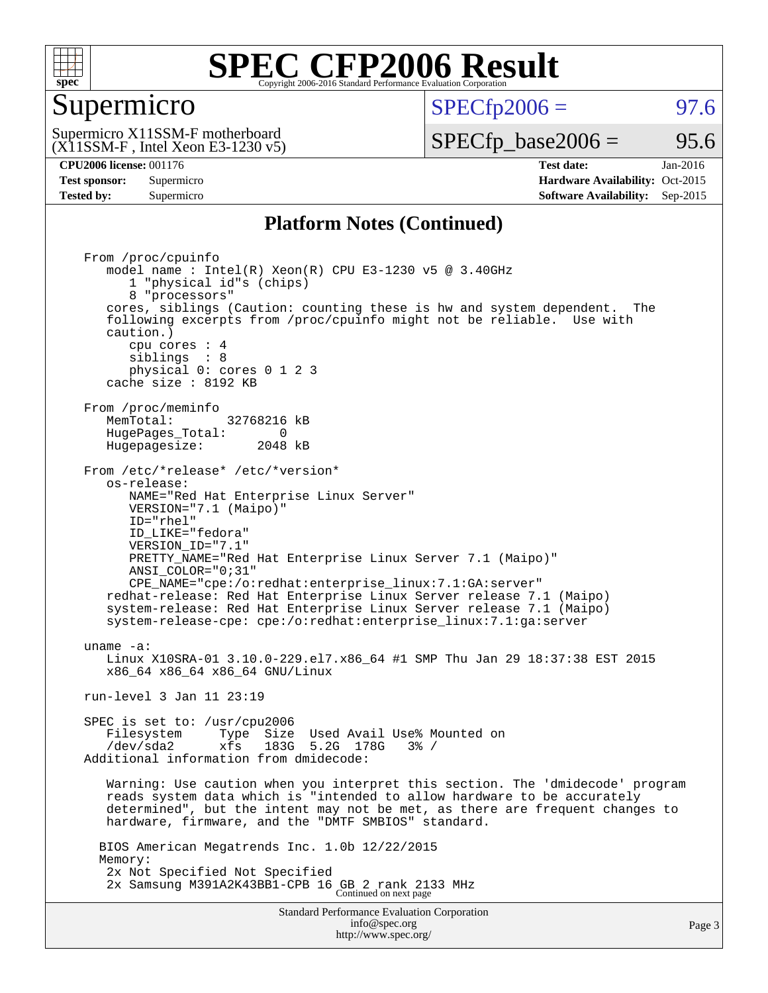

#### Supermicro

 $SPECTp2006 = 97.6$ 

(X11SSM-F , Intel Xeon E3-1230 v5) Supermicro X11SSM-F motherboard

 $SPECTp\_base2006 = 95.6$ 

**[CPU2006 license:](http://www.spec.org/auto/cpu2006/Docs/result-fields.html#CPU2006license)** 001176 **[Test date:](http://www.spec.org/auto/cpu2006/Docs/result-fields.html#Testdate)** Jan-2016 **[Test sponsor:](http://www.spec.org/auto/cpu2006/Docs/result-fields.html#Testsponsor)** Supermicro Supermicro **[Hardware Availability:](http://www.spec.org/auto/cpu2006/Docs/result-fields.html#HardwareAvailability)** Oct-2015 **[Tested by:](http://www.spec.org/auto/cpu2006/Docs/result-fields.html#Testedby)** Supermicro **Supermicro [Software Availability:](http://www.spec.org/auto/cpu2006/Docs/result-fields.html#SoftwareAvailability)** Sep-2015

#### **[Platform Notes \(Continued\)](http://www.spec.org/auto/cpu2006/Docs/result-fields.html#PlatformNotes)**

Standard Performance Evaluation Corporation [info@spec.org](mailto:info@spec.org) From /proc/cpuinfo model name : Intel(R) Xeon(R) CPU E3-1230 v5 @ 3.40GHz 1 "physical id"s (chips) 8 "processors" cores, siblings (Caution: counting these is hw and system dependent. The following excerpts from /proc/cpuinfo might not be reliable. Use with caution.) cpu cores : 4 siblings : 8 physical 0: cores 0 1 2 3 cache size : 8192 KB From /proc/meminfo<br>MemTotal: 32768216 kB HugePages\_Total: 0<br>Hugepagesize: 2048 kB Hugepagesize: From /etc/\*release\* /etc/\*version\* os-release: NAME="Red Hat Enterprise Linux Server" VERSION="7.1 (Maipo)" ID="rhel" ID\_LIKE="fedora" VERSION\_ID="7.1" PRETTY\_NAME="Red Hat Enterprise Linux Server 7.1 (Maipo)" ANSI\_COLOR="0;31" CPE\_NAME="cpe:/o:redhat:enterprise\_linux:7.1:GA:server" redhat-release: Red Hat Enterprise Linux Server release 7.1 (Maipo) system-release: Red Hat Enterprise Linux Server release 7.1 (Maipo) system-release-cpe: cpe:/o:redhat:enterprise\_linux:7.1:ga:server uname -a: Linux X10SRA-01 3.10.0-229.el7.x86\_64 #1 SMP Thu Jan 29 18:37:38 EST 2015 x86\_64 x86\_64 x86\_64 GNU/Linux run-level 3 Jan 11 23:19 SPEC is set to: /usr/cpu2006 Filesystem Type Size Used Avail Use% Mounted on<br>  $\frac{1}{2}$  /dev/sda2 xfs 183G 5.2G 178G 3% / Additional information from dmidecode: Warning: Use caution when you interpret this section. The 'dmidecode' program reads system data which is "intended to allow hardware to be accurately determined", but the intent may not be met, as there are frequent changes to hardware, firmware, and the "DMTF SMBIOS" standard. BIOS American Megatrends Inc. 1.0b 12/22/2015 Memory: 2x Not Specified Not Specified 2x Samsung M391A2K43BB1-CPB 16 GB 2 rank 2133 MHz Continued on next page

<http://www.spec.org/>

Page 3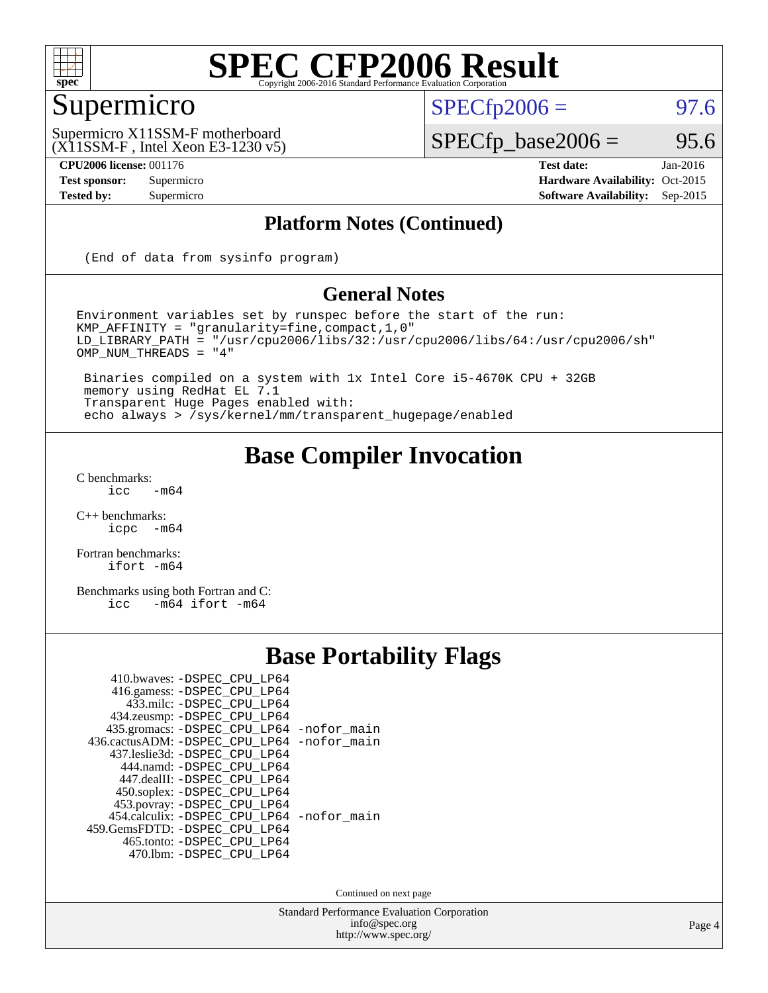

## Supermicro

 $SPECTp2006 = 97.6$ 

(X11SSM-F , Intel Xeon E3-1230 v5) Supermicro X11SSM-F motherboard

 $SPECfp\_base2006 = 95.6$ **[CPU2006 license:](http://www.spec.org/auto/cpu2006/Docs/result-fields.html#CPU2006license)** 001176 **[Test date:](http://www.spec.org/auto/cpu2006/Docs/result-fields.html#Testdate)** Jan-2016

**[Test sponsor:](http://www.spec.org/auto/cpu2006/Docs/result-fields.html#Testsponsor)** Supermicro Supermicro **[Hardware Availability:](http://www.spec.org/auto/cpu2006/Docs/result-fields.html#HardwareAvailability)** Oct-2015 **[Tested by:](http://www.spec.org/auto/cpu2006/Docs/result-fields.html#Testedby)** Supermicro **[Software Availability:](http://www.spec.org/auto/cpu2006/Docs/result-fields.html#SoftwareAvailability)** Sep-2015

#### **[Platform Notes \(Continued\)](http://www.spec.org/auto/cpu2006/Docs/result-fields.html#PlatformNotes)**

(End of data from sysinfo program)

#### **[General Notes](http://www.spec.org/auto/cpu2006/Docs/result-fields.html#GeneralNotes)**

Environment variables set by runspec before the start of the run: KMP\_AFFINITY = "granularity=fine,compact,1,0" LD\_LIBRARY\_PATH = "/usr/cpu2006/libs/32:/usr/cpu2006/libs/64:/usr/cpu2006/sh" OMP\_NUM\_THREADS = "4"

 Binaries compiled on a system with 1x Intel Core i5-4670K CPU + 32GB memory using RedHat EL 7.1 Transparent Huge Pages enabled with: echo always > /sys/kernel/mm/transparent\_hugepage/enabled

#### **[Base Compiler Invocation](http://www.spec.org/auto/cpu2006/Docs/result-fields.html#BaseCompilerInvocation)**

 $C$  benchmarks:<br>icc  $-m64$ 

[C++ benchmarks:](http://www.spec.org/auto/cpu2006/Docs/result-fields.html#CXXbenchmarks) [icpc -m64](http://www.spec.org/cpu2006/results/res2016q1/cpu2006-20160120-38736.flags.html#user_CXXbase_intel_icpc_64bit_bedb90c1146cab66620883ef4f41a67e)

[Fortran benchmarks](http://www.spec.org/auto/cpu2006/Docs/result-fields.html#Fortranbenchmarks): [ifort -m64](http://www.spec.org/cpu2006/results/res2016q1/cpu2006-20160120-38736.flags.html#user_FCbase_intel_ifort_64bit_ee9d0fb25645d0210d97eb0527dcc06e)

[Benchmarks using both Fortran and C](http://www.spec.org/auto/cpu2006/Docs/result-fields.html#BenchmarksusingbothFortranandC): [icc -m64](http://www.spec.org/cpu2006/results/res2016q1/cpu2006-20160120-38736.flags.html#user_CC_FCbase_intel_icc_64bit_0b7121f5ab7cfabee23d88897260401c) [ifort -m64](http://www.spec.org/cpu2006/results/res2016q1/cpu2006-20160120-38736.flags.html#user_CC_FCbase_intel_ifort_64bit_ee9d0fb25645d0210d97eb0527dcc06e)

## **[Base Portability Flags](http://www.spec.org/auto/cpu2006/Docs/result-fields.html#BasePortabilityFlags)**

| 410.bwaves: -DSPEC CPU LP64                |  |
|--------------------------------------------|--|
| 416.gamess: -DSPEC_CPU_LP64                |  |
| 433.milc: -DSPEC CPU LP64                  |  |
| 434.zeusmp: - DSPEC_CPU_LP64               |  |
| 435.gromacs: -DSPEC_CPU_LP64 -nofor_main   |  |
| 436.cactusADM: -DSPEC CPU LP64 -nofor main |  |
| 437.leslie3d: -DSPEC CPU LP64              |  |
| 444.namd: - DSPEC_CPU_LP64                 |  |
| 447.dealII: -DSPEC CPU LP64                |  |
| 450.soplex: -DSPEC_CPU_LP64                |  |
| 453.povray: -DSPEC_CPU_LP64                |  |
| 454.calculix: -DSPEC_CPU_LP64 -nofor_main  |  |
| 459. GemsFDTD: - DSPEC CPU LP64            |  |
| 465.tonto: - DSPEC_CPU_LP64                |  |
| 470.1bm: - DSPEC CPU LP64                  |  |

Continued on next page

Standard Performance Evaluation Corporation [info@spec.org](mailto:info@spec.org) <http://www.spec.org/>

Page 4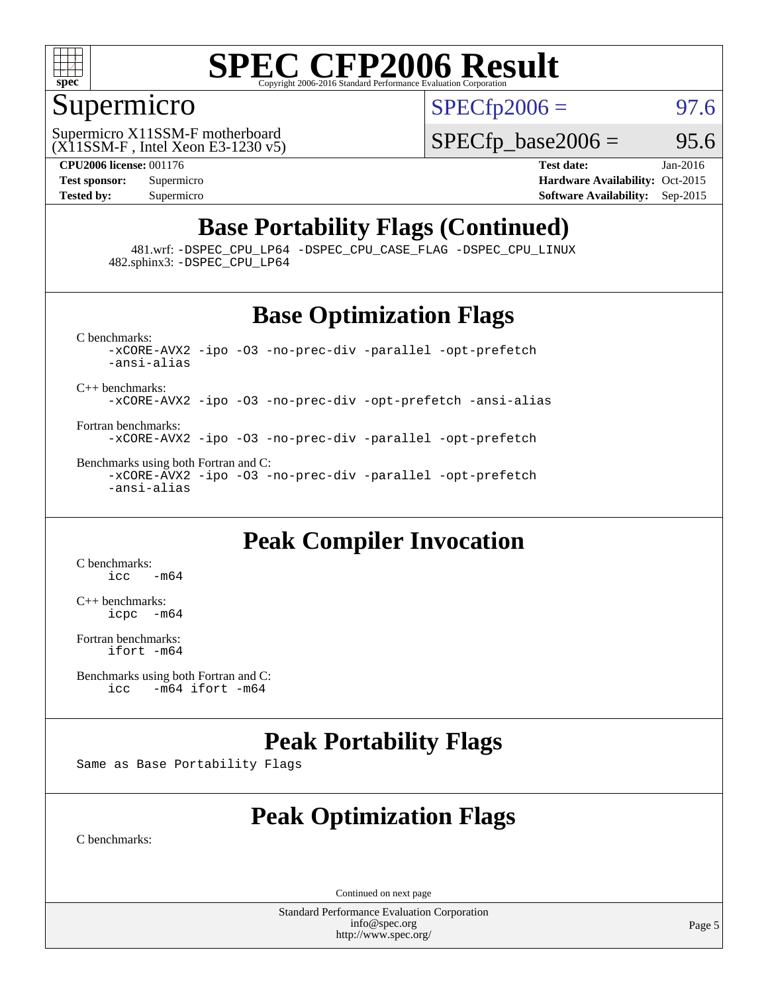

#### Supermicro

 $SPECTp2006 = 97.6$ 

(X11SSM-F , Intel Xeon E3-1230 v5) Supermicro X11SSM-F motherboard

 $SPECTp\_base2006 = 95.6$ 

**[CPU2006 license:](http://www.spec.org/auto/cpu2006/Docs/result-fields.html#CPU2006license)** 001176 **[Test date:](http://www.spec.org/auto/cpu2006/Docs/result-fields.html#Testdate)** Jan-2016 **[Test sponsor:](http://www.spec.org/auto/cpu2006/Docs/result-fields.html#Testsponsor)** Supermicro Supermicro **[Hardware Availability:](http://www.spec.org/auto/cpu2006/Docs/result-fields.html#HardwareAvailability)** Oct-2015 **[Tested by:](http://www.spec.org/auto/cpu2006/Docs/result-fields.html#Testedby)** Supermicro **Supermicro [Software Availability:](http://www.spec.org/auto/cpu2006/Docs/result-fields.html#SoftwareAvailability)** Sep-2015

## **[Base Portability Flags \(Continued\)](http://www.spec.org/auto/cpu2006/Docs/result-fields.html#BasePortabilityFlags)**

 481.wrf: [-DSPEC\\_CPU\\_LP64](http://www.spec.org/cpu2006/results/res2016q1/cpu2006-20160120-38736.flags.html#suite_basePORTABILITY481_wrf_DSPEC_CPU_LP64) [-DSPEC\\_CPU\\_CASE\\_FLAG](http://www.spec.org/cpu2006/results/res2016q1/cpu2006-20160120-38736.flags.html#b481.wrf_baseCPORTABILITY_DSPEC_CPU_CASE_FLAG) [-DSPEC\\_CPU\\_LINUX](http://www.spec.org/cpu2006/results/res2016q1/cpu2006-20160120-38736.flags.html#b481.wrf_baseCPORTABILITY_DSPEC_CPU_LINUX) 482.sphinx3: [-DSPEC\\_CPU\\_LP64](http://www.spec.org/cpu2006/results/res2016q1/cpu2006-20160120-38736.flags.html#suite_basePORTABILITY482_sphinx3_DSPEC_CPU_LP64)

#### **[Base Optimization Flags](http://www.spec.org/auto/cpu2006/Docs/result-fields.html#BaseOptimizationFlags)**

[C benchmarks](http://www.spec.org/auto/cpu2006/Docs/result-fields.html#Cbenchmarks): [-xCORE-AVX2](http://www.spec.org/cpu2006/results/res2016q1/cpu2006-20160120-38736.flags.html#user_CCbase_f-xAVX2_5f5fc0cbe2c9f62c816d3e45806c70d7) [-ipo](http://www.spec.org/cpu2006/results/res2016q1/cpu2006-20160120-38736.flags.html#user_CCbase_f-ipo) [-O3](http://www.spec.org/cpu2006/results/res2016q1/cpu2006-20160120-38736.flags.html#user_CCbase_f-O3) [-no-prec-div](http://www.spec.org/cpu2006/results/res2016q1/cpu2006-20160120-38736.flags.html#user_CCbase_f-no-prec-div) [-parallel](http://www.spec.org/cpu2006/results/res2016q1/cpu2006-20160120-38736.flags.html#user_CCbase_f-parallel) [-opt-prefetch](http://www.spec.org/cpu2006/results/res2016q1/cpu2006-20160120-38736.flags.html#user_CCbase_f-opt-prefetch) [-ansi-alias](http://www.spec.org/cpu2006/results/res2016q1/cpu2006-20160120-38736.flags.html#user_CCbase_f-ansi-alias) [C++ benchmarks:](http://www.spec.org/auto/cpu2006/Docs/result-fields.html#CXXbenchmarks) [-xCORE-AVX2](http://www.spec.org/cpu2006/results/res2016q1/cpu2006-20160120-38736.flags.html#user_CXXbase_f-xAVX2_5f5fc0cbe2c9f62c816d3e45806c70d7) [-ipo](http://www.spec.org/cpu2006/results/res2016q1/cpu2006-20160120-38736.flags.html#user_CXXbase_f-ipo) [-O3](http://www.spec.org/cpu2006/results/res2016q1/cpu2006-20160120-38736.flags.html#user_CXXbase_f-O3) [-no-prec-div](http://www.spec.org/cpu2006/results/res2016q1/cpu2006-20160120-38736.flags.html#user_CXXbase_f-no-prec-div) [-opt-prefetch](http://www.spec.org/cpu2006/results/res2016q1/cpu2006-20160120-38736.flags.html#user_CXXbase_f-opt-prefetch) [-ansi-alias](http://www.spec.org/cpu2006/results/res2016q1/cpu2006-20160120-38736.flags.html#user_CXXbase_f-ansi-alias)

[Fortran benchmarks](http://www.spec.org/auto/cpu2006/Docs/result-fields.html#Fortranbenchmarks): [-xCORE-AVX2](http://www.spec.org/cpu2006/results/res2016q1/cpu2006-20160120-38736.flags.html#user_FCbase_f-xAVX2_5f5fc0cbe2c9f62c816d3e45806c70d7) [-ipo](http://www.spec.org/cpu2006/results/res2016q1/cpu2006-20160120-38736.flags.html#user_FCbase_f-ipo) [-O3](http://www.spec.org/cpu2006/results/res2016q1/cpu2006-20160120-38736.flags.html#user_FCbase_f-O3) [-no-prec-div](http://www.spec.org/cpu2006/results/res2016q1/cpu2006-20160120-38736.flags.html#user_FCbase_f-no-prec-div) [-parallel](http://www.spec.org/cpu2006/results/res2016q1/cpu2006-20160120-38736.flags.html#user_FCbase_f-parallel) [-opt-prefetch](http://www.spec.org/cpu2006/results/res2016q1/cpu2006-20160120-38736.flags.html#user_FCbase_f-opt-prefetch)

[Benchmarks using both Fortran and C](http://www.spec.org/auto/cpu2006/Docs/result-fields.html#BenchmarksusingbothFortranandC): [-xCORE-AVX2](http://www.spec.org/cpu2006/results/res2016q1/cpu2006-20160120-38736.flags.html#user_CC_FCbase_f-xAVX2_5f5fc0cbe2c9f62c816d3e45806c70d7) [-ipo](http://www.spec.org/cpu2006/results/res2016q1/cpu2006-20160120-38736.flags.html#user_CC_FCbase_f-ipo) [-O3](http://www.spec.org/cpu2006/results/res2016q1/cpu2006-20160120-38736.flags.html#user_CC_FCbase_f-O3) [-no-prec-div](http://www.spec.org/cpu2006/results/res2016q1/cpu2006-20160120-38736.flags.html#user_CC_FCbase_f-no-prec-div) [-parallel](http://www.spec.org/cpu2006/results/res2016q1/cpu2006-20160120-38736.flags.html#user_CC_FCbase_f-parallel) [-opt-prefetch](http://www.spec.org/cpu2006/results/res2016q1/cpu2006-20160120-38736.flags.html#user_CC_FCbase_f-opt-prefetch) [-ansi-alias](http://www.spec.org/cpu2006/results/res2016q1/cpu2006-20160120-38736.flags.html#user_CC_FCbase_f-ansi-alias)

#### **[Peak Compiler Invocation](http://www.spec.org/auto/cpu2006/Docs/result-fields.html#PeakCompilerInvocation)**

[C benchmarks](http://www.spec.org/auto/cpu2006/Docs/result-fields.html#Cbenchmarks):  $\text{icc}$   $-\text{m64}$ 

[C++ benchmarks:](http://www.spec.org/auto/cpu2006/Docs/result-fields.html#CXXbenchmarks) [icpc -m64](http://www.spec.org/cpu2006/results/res2016q1/cpu2006-20160120-38736.flags.html#user_CXXpeak_intel_icpc_64bit_bedb90c1146cab66620883ef4f41a67e)

[Fortran benchmarks](http://www.spec.org/auto/cpu2006/Docs/result-fields.html#Fortranbenchmarks): [ifort -m64](http://www.spec.org/cpu2006/results/res2016q1/cpu2006-20160120-38736.flags.html#user_FCpeak_intel_ifort_64bit_ee9d0fb25645d0210d97eb0527dcc06e)

[Benchmarks using both Fortran and C](http://www.spec.org/auto/cpu2006/Docs/result-fields.html#BenchmarksusingbothFortranandC):<br>icc -m64 if ort -m64  $-m64$  ifort  $-m64$ 

#### **[Peak Portability Flags](http://www.spec.org/auto/cpu2006/Docs/result-fields.html#PeakPortabilityFlags)**

Same as Base Portability Flags

## **[Peak Optimization Flags](http://www.spec.org/auto/cpu2006/Docs/result-fields.html#PeakOptimizationFlags)**

[C benchmarks](http://www.spec.org/auto/cpu2006/Docs/result-fields.html#Cbenchmarks):

Continued on next page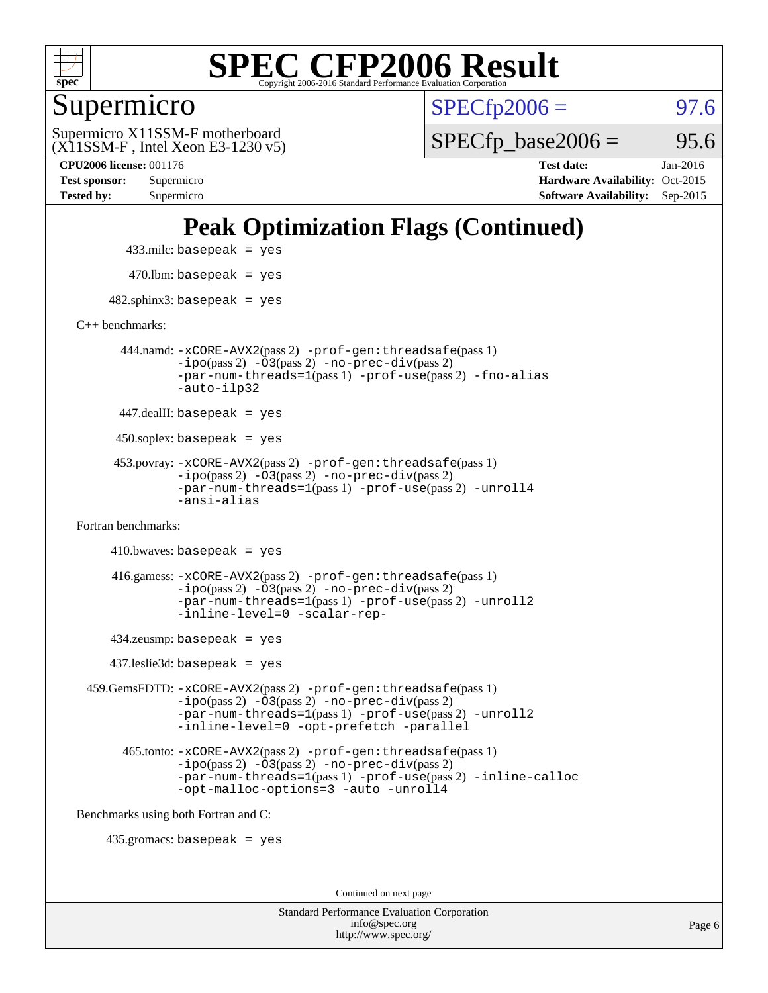

Supermicro

 $SPECTp2006 = 97.6$ 

(X11SSM-F , Intel Xeon E3-1230 v5) Supermicro X11SSM-F motherboard

 $SPECTp\_base2006 =$  95.6

**[CPU2006 license:](http://www.spec.org/auto/cpu2006/Docs/result-fields.html#CPU2006license)** 001176 **[Test date:](http://www.spec.org/auto/cpu2006/Docs/result-fields.html#Testdate)** Jan-2016 **[Test sponsor:](http://www.spec.org/auto/cpu2006/Docs/result-fields.html#Testsponsor)** Supermicro Supermicro **[Hardware Availability:](http://www.spec.org/auto/cpu2006/Docs/result-fields.html#HardwareAvailability)** Oct-2015 **[Tested by:](http://www.spec.org/auto/cpu2006/Docs/result-fields.html#Testedby)** Supermicro **[Software Availability:](http://www.spec.org/auto/cpu2006/Docs/result-fields.html#SoftwareAvailability)** Sep-2015

## **[Peak Optimization Flags \(Continued\)](http://www.spec.org/auto/cpu2006/Docs/result-fields.html#PeakOptimizationFlags)**

 433.milc: basepeak = yes  $470$ .lbm: basepeak = yes

 $482$ .sphinx3: basepeak = yes

[C++ benchmarks:](http://www.spec.org/auto/cpu2006/Docs/result-fields.html#CXXbenchmarks)

 444.namd: [-xCORE-AVX2](http://www.spec.org/cpu2006/results/res2016q1/cpu2006-20160120-38736.flags.html#user_peakPASS2_CXXFLAGSPASS2_LDFLAGS444_namd_f-xAVX2_5f5fc0cbe2c9f62c816d3e45806c70d7)(pass 2) [-prof-gen:threadsafe](http://www.spec.org/cpu2006/results/res2016q1/cpu2006-20160120-38736.flags.html#user_peakPASS1_CXXFLAGSPASS1_LDFLAGS444_namd_prof_gen_21a26eb79f378b550acd7bec9fe4467a)(pass 1) [-ipo](http://www.spec.org/cpu2006/results/res2016q1/cpu2006-20160120-38736.flags.html#user_peakPASS2_CXXFLAGSPASS2_LDFLAGS444_namd_f-ipo)(pass 2) [-O3](http://www.spec.org/cpu2006/results/res2016q1/cpu2006-20160120-38736.flags.html#user_peakPASS2_CXXFLAGSPASS2_LDFLAGS444_namd_f-O3)(pass 2) [-no-prec-div](http://www.spec.org/cpu2006/results/res2016q1/cpu2006-20160120-38736.flags.html#user_peakPASS2_CXXFLAGSPASS2_LDFLAGS444_namd_f-no-prec-div)(pass 2) [-par-num-threads=1](http://www.spec.org/cpu2006/results/res2016q1/cpu2006-20160120-38736.flags.html#user_peakPASS1_CXXFLAGSPASS1_LDFLAGS444_namd_par_num_threads_786a6ff141b4e9e90432e998842df6c2)(pass 1) [-prof-use](http://www.spec.org/cpu2006/results/res2016q1/cpu2006-20160120-38736.flags.html#user_peakPASS2_CXXFLAGSPASS2_LDFLAGS444_namd_prof_use_bccf7792157ff70d64e32fe3e1250b55)(pass 2) [-fno-alias](http://www.spec.org/cpu2006/results/res2016q1/cpu2006-20160120-38736.flags.html#user_peakCXXOPTIMIZEOPTIMIZE444_namd_f-no-alias_694e77f6c5a51e658e82ccff53a9e63a) [-auto-ilp32](http://www.spec.org/cpu2006/results/res2016q1/cpu2006-20160120-38736.flags.html#user_peakCXXOPTIMIZE444_namd_f-auto-ilp32)

447.dealII: basepeak = yes

 $450$ .soplex: basepeak = yes

 453.povray: [-xCORE-AVX2](http://www.spec.org/cpu2006/results/res2016q1/cpu2006-20160120-38736.flags.html#user_peakPASS2_CXXFLAGSPASS2_LDFLAGS453_povray_f-xAVX2_5f5fc0cbe2c9f62c816d3e45806c70d7)(pass 2) [-prof-gen:threadsafe](http://www.spec.org/cpu2006/results/res2016q1/cpu2006-20160120-38736.flags.html#user_peakPASS1_CXXFLAGSPASS1_LDFLAGS453_povray_prof_gen_21a26eb79f378b550acd7bec9fe4467a)(pass 1)  $-ipo(pass 2) -\overline{O3(pass 2)}$  $-ipo(pass 2) -\overline{O3(pass 2)}$  [-no-prec-div](http://www.spec.org/cpu2006/results/res2016q1/cpu2006-20160120-38736.flags.html#user_peakPASS2_CXXFLAGSPASS2_LDFLAGS453_povray_f-no-prec-div)(pass 2) [-par-num-threads=1](http://www.spec.org/cpu2006/results/res2016q1/cpu2006-20160120-38736.flags.html#user_peakPASS1_CXXFLAGSPASS1_LDFLAGS453_povray_par_num_threads_786a6ff141b4e9e90432e998842df6c2)(pass 1) [-prof-use](http://www.spec.org/cpu2006/results/res2016q1/cpu2006-20160120-38736.flags.html#user_peakPASS2_CXXFLAGSPASS2_LDFLAGS453_povray_prof_use_bccf7792157ff70d64e32fe3e1250b55)(pass 2) [-unroll4](http://www.spec.org/cpu2006/results/res2016q1/cpu2006-20160120-38736.flags.html#user_peakCXXOPTIMIZE453_povray_f-unroll_4e5e4ed65b7fd20bdcd365bec371b81f) [-ansi-alias](http://www.spec.org/cpu2006/results/res2016q1/cpu2006-20160120-38736.flags.html#user_peakCXXOPTIMIZE453_povray_f-ansi-alias)

[Fortran benchmarks](http://www.spec.org/auto/cpu2006/Docs/result-fields.html#Fortranbenchmarks):

```
410.bwaves: basepeak = yes 416.gamess: -xCORE-AVX2(pass 2) -prof-gen:threadsafe(pass 1)
-i\text{po}(pass 2) -\tilde{O}3(pass 2)-no-prec-div(pass 2)
-par-num-threads=1(pass 1) -prof-use(pass 2) -unroll2
-inline-level=0 -scalar-rep-
```
434.zeusmp: basepeak = yes

437.leslie3d: basepeak = yes

 459.GemsFDTD: [-xCORE-AVX2](http://www.spec.org/cpu2006/results/res2016q1/cpu2006-20160120-38736.flags.html#user_peakPASS2_FFLAGSPASS2_LDFLAGS459_GemsFDTD_f-xAVX2_5f5fc0cbe2c9f62c816d3e45806c70d7)(pass 2) [-prof-gen:threadsafe](http://www.spec.org/cpu2006/results/res2016q1/cpu2006-20160120-38736.flags.html#user_peakPASS1_FFLAGSPASS1_LDFLAGS459_GemsFDTD_prof_gen_21a26eb79f378b550acd7bec9fe4467a)(pass 1) [-ipo](http://www.spec.org/cpu2006/results/res2016q1/cpu2006-20160120-38736.flags.html#user_peakPASS2_FFLAGSPASS2_LDFLAGS459_GemsFDTD_f-ipo)(pass 2) [-O3](http://www.spec.org/cpu2006/results/res2016q1/cpu2006-20160120-38736.flags.html#user_peakPASS2_FFLAGSPASS2_LDFLAGS459_GemsFDTD_f-O3)(pass 2) [-no-prec-div](http://www.spec.org/cpu2006/results/res2016q1/cpu2006-20160120-38736.flags.html#user_peakPASS2_FFLAGSPASS2_LDFLAGS459_GemsFDTD_f-no-prec-div)(pass 2) [-par-num-threads=1](http://www.spec.org/cpu2006/results/res2016q1/cpu2006-20160120-38736.flags.html#user_peakPASS1_FFLAGSPASS1_LDFLAGS459_GemsFDTD_par_num_threads_786a6ff141b4e9e90432e998842df6c2)(pass 1) [-prof-use](http://www.spec.org/cpu2006/results/res2016q1/cpu2006-20160120-38736.flags.html#user_peakPASS2_FFLAGSPASS2_LDFLAGS459_GemsFDTD_prof_use_bccf7792157ff70d64e32fe3e1250b55)(pass 2) [-unroll2](http://www.spec.org/cpu2006/results/res2016q1/cpu2006-20160120-38736.flags.html#user_peakOPTIMIZE459_GemsFDTD_f-unroll_784dae83bebfb236979b41d2422d7ec2) [-inline-level=0](http://www.spec.org/cpu2006/results/res2016q1/cpu2006-20160120-38736.flags.html#user_peakOPTIMIZE459_GemsFDTD_f-inline-level_318d07a09274ad25e8d15dbfaa68ba50) [-opt-prefetch](http://www.spec.org/cpu2006/results/res2016q1/cpu2006-20160120-38736.flags.html#user_peakOPTIMIZE459_GemsFDTD_f-opt-prefetch) [-parallel](http://www.spec.org/cpu2006/results/res2016q1/cpu2006-20160120-38736.flags.html#user_peakOPTIMIZE459_GemsFDTD_f-parallel)

 465.tonto: [-xCORE-AVX2](http://www.spec.org/cpu2006/results/res2016q1/cpu2006-20160120-38736.flags.html#user_peakPASS2_FFLAGSPASS2_LDFLAGS465_tonto_f-xAVX2_5f5fc0cbe2c9f62c816d3e45806c70d7)(pass 2) [-prof-gen:threadsafe](http://www.spec.org/cpu2006/results/res2016q1/cpu2006-20160120-38736.flags.html#user_peakPASS1_FFLAGSPASS1_LDFLAGS465_tonto_prof_gen_21a26eb79f378b550acd7bec9fe4467a)(pass 1)  $-i\text{po}(pass 2) -\overline{0}3(pass 2) -no-prec-div(pass 2)$  $-i\text{po}(pass 2) -\overline{0}3(pass 2) -no-prec-div(pass 2)$  $-i\text{po}(pass 2) -\overline{0}3(pass 2) -no-prec-div(pass 2)$ [-par-num-threads=1](http://www.spec.org/cpu2006/results/res2016q1/cpu2006-20160120-38736.flags.html#user_peakPASS1_FFLAGSPASS1_LDFLAGS465_tonto_par_num_threads_786a6ff141b4e9e90432e998842df6c2)(pass 1) [-prof-use](http://www.spec.org/cpu2006/results/res2016q1/cpu2006-20160120-38736.flags.html#user_peakPASS2_FFLAGSPASS2_LDFLAGS465_tonto_prof_use_bccf7792157ff70d64e32fe3e1250b55)(pass 2) [-inline-calloc](http://www.spec.org/cpu2006/results/res2016q1/cpu2006-20160120-38736.flags.html#user_peakOPTIMIZE465_tonto_f-inline-calloc) [-opt-malloc-options=3](http://www.spec.org/cpu2006/results/res2016q1/cpu2006-20160120-38736.flags.html#user_peakOPTIMIZE465_tonto_f-opt-malloc-options_13ab9b803cf986b4ee62f0a5998c2238) [-auto](http://www.spec.org/cpu2006/results/res2016q1/cpu2006-20160120-38736.flags.html#user_peakOPTIMIZE465_tonto_f-auto) [-unroll4](http://www.spec.org/cpu2006/results/res2016q1/cpu2006-20160120-38736.flags.html#user_peakOPTIMIZE465_tonto_f-unroll_4e5e4ed65b7fd20bdcd365bec371b81f)

[Benchmarks using both Fortran and C](http://www.spec.org/auto/cpu2006/Docs/result-fields.html#BenchmarksusingbothFortranandC):

435.gromacs: basepeak = yes

Continued on next page